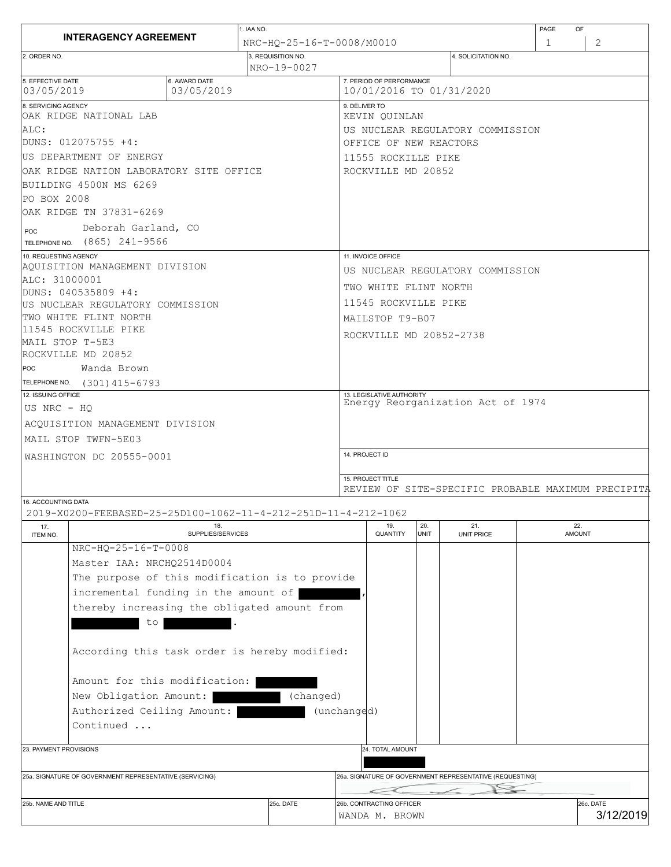| <b>INTERAGENCY AGREEMENT</b>                                   |                             | 1. IAA NO.                                     |                   |                           |                    |                                                          | PAGE<br>OF |                        |  |
|----------------------------------------------------------------|-----------------------------|------------------------------------------------|-------------------|---------------------------|--------------------|----------------------------------------------------------|------------|------------------------|--|
|                                                                |                             | NRC-HO-25-16-T-0008/M0010                      |                   |                           |                    |                                                          | 1          | 2                      |  |
| 2. ORDER NO.                                                   |                             | 3. REQUISITION NO.<br>NRO-19-0027              |                   |                           |                    | 4. SOLICITATION NO.                                      |            |                        |  |
| 5. EFFECTIVE DATE<br>03/05/2019                                | 6. AWARD DATE<br>03/05/2019 |                                                |                   | 7. PERIOD OF PERFORMANCE  |                    | 10/01/2016 TO 01/31/2020                                 |            |                        |  |
| 8. SERVICING AGENCY                                            |                             |                                                | 9. DELIVER TO     |                           |                    |                                                          |            |                        |  |
| OAK RIDGE NATIONAL LAB                                         |                             |                                                |                   | KEVIN QUINLAN             |                    |                                                          |            |                        |  |
| ALC:                                                           |                             |                                                |                   |                           |                    | US NUCLEAR REGULATORY COMMISSION                         |            |                        |  |
| DUNS: 012075755 +4:                                            |                             |                                                |                   |                           |                    | OFFICE OF NEW REACTORS                                   |            |                        |  |
| US DEPARTMENT OF ENERGY                                        |                             |                                                |                   | 11555 ROCKILLE PIKE       |                    |                                                          |            |                        |  |
| OAK RIDGE NATION LABORATORY SITE OFFICE                        |                             |                                                |                   | ROCKVILLE MD 20852        |                    |                                                          |            |                        |  |
| BUILDING 4500N MS 6269                                         |                             |                                                |                   |                           |                    |                                                          |            |                        |  |
| PO BOX 2008                                                    |                             |                                                |                   |                           |                    |                                                          |            |                        |  |
| OAK RIDGE TN 37831-6269                                        |                             |                                                |                   |                           |                    |                                                          |            |                        |  |
| Deborah Garland, CO<br><b>POC</b>                              |                             |                                                |                   |                           |                    |                                                          |            |                        |  |
| TELEPHONE NO. (865) 241-9566                                   |                             |                                                |                   |                           |                    |                                                          |            |                        |  |
| 10. REQUESTING AGENCY                                          |                             |                                                |                   | 11. INVOICE OFFICE        |                    |                                                          |            |                        |  |
| AQUISITION MANAGEMENT DIVISION                                 |                             |                                                |                   |                           |                    | US NUCLEAR REGULATORY COMMISSION                         |            |                        |  |
| ALC: 31000001                                                  |                             |                                                |                   | TWO WHITE FLINT NORTH     |                    |                                                          |            |                        |  |
| DUNS: 040535809 +4:                                            |                             |                                                |                   |                           |                    |                                                          |            |                        |  |
| US NUCLEAR REGULATORY COMMISSION                               |                             |                                                |                   | 11545 ROCKVILLE PIKE      |                    |                                                          |            |                        |  |
| TWO WHITE FLINT NORTH                                          |                             |                                                |                   | MAILSTOP T9-B07           |                    |                                                          |            |                        |  |
| 111545 ROCKVILLE PIKE                                          |                             |                                                |                   |                           |                    | ROCKVILLE MD 20852-2738                                  |            |                        |  |
| MAIL STOP T-5E3                                                |                             |                                                |                   |                           |                    |                                                          |            |                        |  |
| ROCKVILLE MD 20852                                             |                             |                                                |                   |                           |                    |                                                          |            |                        |  |
| POC<br>Wanda Brown                                             |                             |                                                |                   |                           |                    |                                                          |            |                        |  |
| TELEPHONE NO. (301) 415-6793                                   |                             |                                                |                   |                           |                    |                                                          |            |                        |  |
| 12. ISSUING OFFICE                                             |                             |                                                |                   | 13. LEGISLATIVE AUTHORITY |                    | Energy Reorganization Act of 1974                        |            |                        |  |
| US NRC - HQ                                                    |                             |                                                |                   |                           |                    |                                                          |            |                        |  |
| ACQUISITION MANAGEMENT DIVISION                                |                             |                                                |                   |                           |                    |                                                          |            |                        |  |
| MAIL STOP TWFN-5E03                                            |                             |                                                |                   |                           |                    |                                                          |            |                        |  |
| WASHINGTON DC 20555-0001                                       |                             |                                                | 14. PROJECT ID    |                           |                    |                                                          |            |                        |  |
|                                                                |                             |                                                |                   |                           |                    |                                                          |            |                        |  |
|                                                                |                             |                                                | 15. PROJECT TITLE |                           |                    | REVIEW OF SITE-SPECIFIC PROBABLE MAXIMUM PRECIPITI       |            |                        |  |
| 16. ACCOUNTING DATA                                            |                             |                                                |                   |                           |                    |                                                          |            |                        |  |
| 2019-X0200-FEEBASED-25-25D100-1062-11-4-212-251D-11-4-212-1062 |                             |                                                |                   |                           |                    |                                                          |            |                        |  |
| 17.<br>ITEM NO.                                                | 18.<br>SUPPLIES/SERVICES    |                                                |                   | 19.<br>QUANTITY           | 20.<br><b>UNIT</b> | 21.<br><b>UNIT PRICE</b>                                 |            | 22.<br><b>AMOUNT</b>   |  |
| NRC-HQ-25-16-T-0008                                            |                             |                                                |                   |                           |                    |                                                          |            |                        |  |
|                                                                |                             |                                                |                   |                           |                    |                                                          |            |                        |  |
| Master IAA: NRCHQ2514D0004                                     |                             |                                                |                   |                           |                    |                                                          |            |                        |  |
|                                                                |                             | The purpose of this modification is to provide |                   |                           |                    |                                                          |            |                        |  |
| incremental funding in the amount of                           |                             |                                                |                   |                           |                    |                                                          |            |                        |  |
|                                                                |                             | thereby increasing the obligated amount from   |                   |                           |                    |                                                          |            |                        |  |
| to                                                             |                             |                                                |                   |                           |                    |                                                          |            |                        |  |
|                                                                |                             |                                                |                   |                           |                    |                                                          |            |                        |  |
|                                                                |                             | According this task order is hereby modified:  |                   |                           |                    |                                                          |            |                        |  |
| Amount for this modification:                                  |                             |                                                |                   |                           |                    |                                                          |            |                        |  |
| New Obligation Amount:                                         |                             | (changed)                                      |                   |                           |                    |                                                          |            |                        |  |
|                                                                |                             |                                                |                   |                           |                    |                                                          |            |                        |  |
| Authorized Ceiling Amount:                                     |                             |                                                | (unchanged)       |                           |                    |                                                          |            |                        |  |
| Continued                                                      |                             |                                                |                   |                           |                    |                                                          |            |                        |  |
| 23. PAYMENT PROVISIONS                                         |                             |                                                |                   | 24. TOTAL AMOUNT          |                    |                                                          |            |                        |  |
|                                                                |                             |                                                |                   |                           |                    |                                                          |            |                        |  |
|                                                                |                             |                                                |                   |                           |                    |                                                          |            |                        |  |
| 25a. SIGNATURE OF GOVERNMENT REPRESENTATIVE (SERVICING)        |                             |                                                |                   |                           |                    | 26a. SIGNATURE OF GOVERNMENT REPRESENTATIVE (REQUESTING) |            |                        |  |
|                                                                |                             |                                                |                   |                           |                    |                                                          |            |                        |  |
| 25b. NAME AND TITLE                                            |                             | 25c. DATE                                      |                   | 26b. CONTRACTING OFFICER  |                    |                                                          |            | 26c. DATE<br>3/12/2019 |  |
|                                                                |                             |                                                |                   | WANDA M. BROWN            |                    |                                                          |            |                        |  |